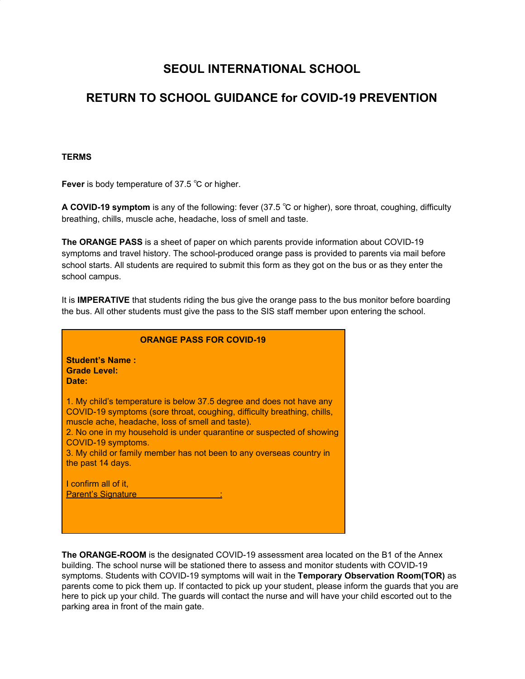# **SEOUL INTERNATIONAL SCHOOL**

# **RETURN TO SCHOOL GUIDANCE for COVID-19 PREVENTION**

#### **TERMS**

**Fever** is body temperature of 37.5 ℃ or higher.

**A COVID-19 symptom** is any of the following: fever (37.5 ℃ or higher), sore throat, coughing, difficulty breathing, chills, muscle ache, headache, loss of smell and taste.

**The ORANGE PASS** is a sheet of paper on which parents provide information about COVID-19 symptoms and travel history. The school-produced orange pass is provided to parents via mail before school starts. All students are required to submit this form as they got on the bus or as they enter the school campus.

It is **IMPERATIVE** that students riding the bus give the orange pass to the bus monitor before boarding the bus. All other students must give the pass to the SIS staff member upon entering the school.

| <b>ORANGE PASS FOR COVID-19</b>                                                                                                                                                                                                                                                                                                                                                                 |
|-------------------------------------------------------------------------------------------------------------------------------------------------------------------------------------------------------------------------------------------------------------------------------------------------------------------------------------------------------------------------------------------------|
| <b>Student's Name:</b><br><b>Grade Level:</b><br>Date:                                                                                                                                                                                                                                                                                                                                          |
| 1. My child's temperature is below 37.5 degree and does not have any<br>COVID-19 symptoms (sore throat, coughing, difficulty breathing, chills,<br>muscle ache, headache, loss of smell and taste).<br>2. No one in my household is under quarantine or suspected of showing<br>COVID-19 symptoms.<br>3. My child or family member has not been to any overseas country in<br>the past 14 days. |
| I confirm all of it,<br><b>Parent's Signature</b>                                                                                                                                                                                                                                                                                                                                               |

**The ORANGE-ROOM** is the designated COVID-19 assessment area located on the B1 of the Annex building. The school nurse will be stationed there to assess and monitor students with COVID-19 symptoms. Students with COVID-19 symptoms will wait in the **Temporary Observation Room(TOR)** as parents come to pick them up. If contacted to pick up your student, please inform the guards that you are here to pick up your child. The guards will contact the nurse and will have your child escorted out to the parking area in front of the main gate.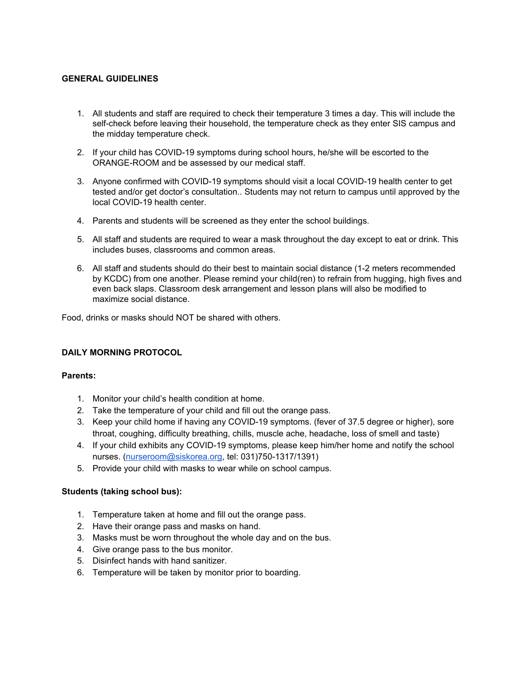# **GENERAL GUIDELINES**

- 1. All students and staff are required to check their temperature 3 times a day. This will include the self-check before leaving their household, the temperature check as they enter SIS campus and the midday temperature check.
- 2. If your child has COVID-19 symptoms during school hours, he/she will be escorted to the ORANGE-ROOM and be assessed by our medical staff.
- 3. Anyone confirmed with COVID-19 symptoms should visit a local COVID-19 health center to get tested and/or get doctor's consultation.. Students may not return to campus until approved by the local COVID-19 health center.
- 4. Parents and students will be screened as they enter the school buildings.
- 5. All staff and students are required to wear a mask throughout the day except to eat or drink. This includes buses, classrooms and common areas.
- 6. All staff and students should do their best to maintain social distance (1-2 meters recommended by KCDC) from one another. Please remind your child(ren) to refrain from hugging, high fives and even back slaps. Classroom desk arrangement and lesson plans will also be modified to maximize social distance.

Food, drinks or masks should NOT be shared with others.

# **DAILY MORNING PROTOCOL**

#### **Parents:**

- 1. Monitor your child's health condition at home.
- 2. Take the temperature of your child and fill out the orange pass.
- 3. Keep your child home if having any COVID-19 symptoms. (fever of 37.5 degree or higher), sore throat, coughing, difficulty breathing, chills, muscle ache, headache, loss of smell and taste)
- 4. If your child exhibits any COVID-19 symptoms, please keep him/her home and notify the school nurses. ([nurseroom@siskorea.org,](mailto:nurseroom@siskorea.org) tel: 031)750-1317/1391)
- 5. Provide your child with masks to wear while on school campus.

#### **Students (taking school bus):**

- 1. Temperature taken at home and fill out the orange pass.
- 2. Have their orange pass and masks on hand.
- 3. Masks must be worn throughout the whole day and on the bus.
- 4. Give orange pass to the bus monitor.
- 5. Disinfect hands with hand sanitizer.
- 6. Temperature will be taken by monitor prior to boarding.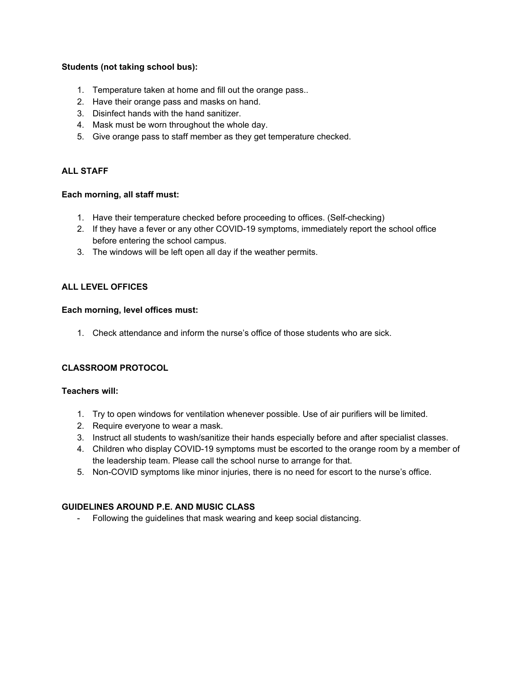# **Students (not taking school bus):**

- 1. Temperature taken at home and fill out the orange pass..
- 2. Have their orange pass and masks on hand.
- 3. Disinfect hands with the hand sanitizer.
- 4. Mask must be worn throughout the whole day.
- 5. Give orange pass to staff member as they get temperature checked.

# **ALL STAFF**

## **Each morning, all staff must:**

- 1. Have their temperature checked before proceeding to offices. (Self-checking)
- 2. If they have a fever or any other COVID-19 symptoms, immediately report the school office before entering the school campus.
- 3. The windows will be left open all day if the weather permits.

## **ALL LEVEL OFFICES**

#### **Each morning, level offices must:**

1. Check attendance and inform the nurse's office of those students who are sick.

#### **CLASSROOM PROTOCOL**

#### **Teachers will:**

- 1. Try to open windows for ventilation whenever possible. Use of air purifiers will be limited.
- 2. Require everyone to wear a mask.
- 3. Instruct all students to wash/sanitize their hands especially before and after specialist classes.
- 4. Children who display COVID-19 symptoms must be escorted to the orange room by a member of the leadership team. Please call the school nurse to arrange for that.
- 5. Non-COVID symptoms like minor injuries, there is no need for escort to the nurse's office.

# **GUIDELINES AROUND P.E. AND MUSIC CLASS**

- Following the guidelines that mask wearing and keep social distancing.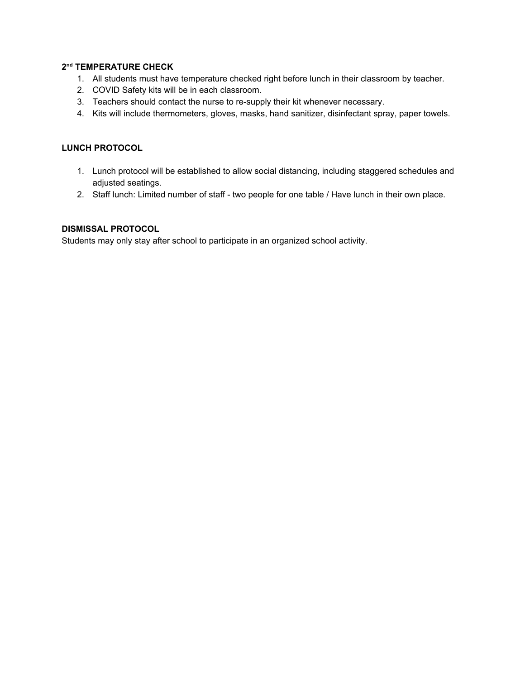# **2 nd TEMPERATURE CHECK**

- 1. All students must have temperature checked right before lunch in their classroom by teacher.
- 2. COVID Safety kits will be in each classroom.
- 3. Teachers should contact the nurse to re-supply their kit whenever necessary.
- 4. Kits will include thermometers, gloves, masks, hand sanitizer, disinfectant spray, paper towels.

# **LUNCH PROTOCOL**

- 1. Lunch protocol will be established to allow social distancing, including staggered schedules and adjusted seatings.
- 2. Staff lunch: Limited number of staff two people for one table / Have lunch in their own place.

# **DISMISSAL PROTOCOL**

Students may only stay after school to participate in an organized school activity.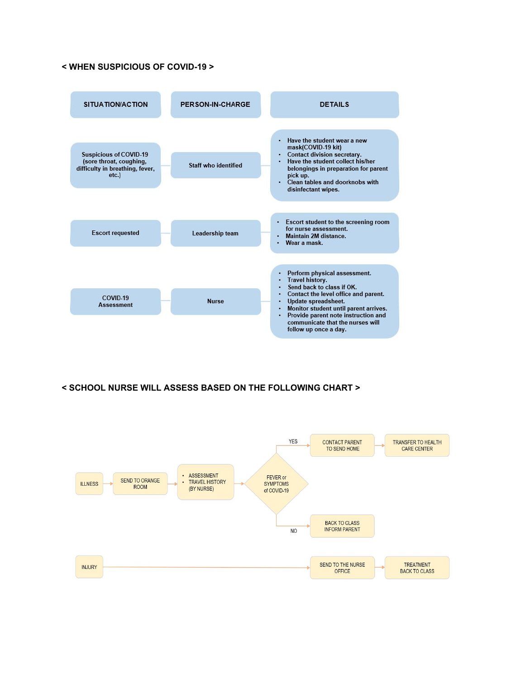# **< WHEN SUSPICIOUS OF COVID-19 >**



## **< SCHOOL NURSE WILL ASSESS BASED ON THE FOLLOWING CHART >**

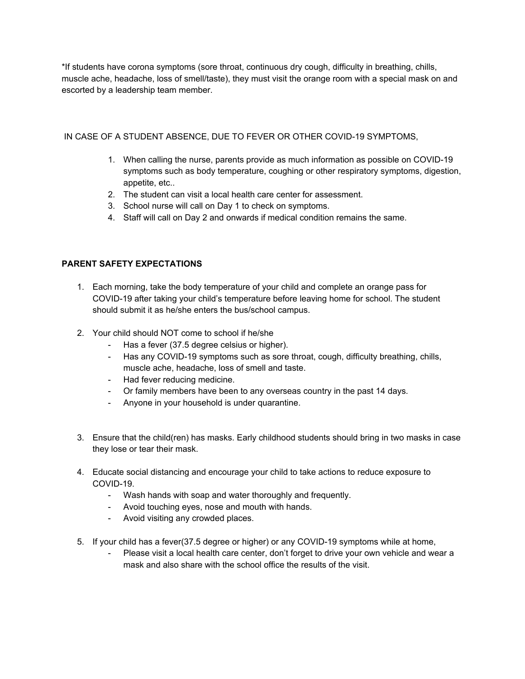\*If students have corona symptoms (sore throat, continuous dry cough, difficulty in breathing, chills, muscle ache, headache, loss of smell/taste), they must visit the orange room with a special mask on and escorted by a leadership team member.

# IN CASE OF A STUDENT ABSENCE, DUE TO FEVER OR OTHER COVID-19 SYMPTOMS,

- 1. When calling the nurse, parents provide as much information as possible on COVID-19 symptoms such as body temperature, coughing or other respiratory symptoms, digestion, appetite, etc..
- 2. The student can visit a local health care center for assessment.
- 3. School nurse will call on Day 1 to check on symptoms.
- 4. Staff will call on Day 2 and onwards if medical condition remains the same.

# **PARENT SAFETY EXPECTATIONS**

- 1. Each morning, take the body temperature of your child and complete an orange pass for COVID-19 after taking your child's temperature before leaving home for school. The student should submit it as he/she enters the bus/school campus.
- 2. Your child should NOT come to school if he/she
	- Has a fever (37.5 degree celsius or higher).
	- Has any COVID-19 symptoms such as sore throat, cough, difficulty breathing, chills, muscle ache, headache, loss of smell and taste.
	- Had fever reducing medicine.
	- Or family members have been to any overseas country in the past 14 days.
	- Anyone in your household is under quarantine.
- 3. Ensure that the child(ren) has masks. Early childhood students should bring in two masks in case they lose or tear their mask.
- 4. Educate social distancing and encourage your child to take actions to reduce exposure to COVID-19.
	- Wash hands with soap and water thoroughly and frequently.
	- Avoid touching eyes, nose and mouth with hands.
	- Avoid visiting any crowded places.
- 5. If your child has a fever(37.5 degree or higher) or any COVID-19 symptoms while at home,
	- Please visit a local health care center, don't forget to drive your own vehicle and wear a mask and also share with the school office the results of the visit.